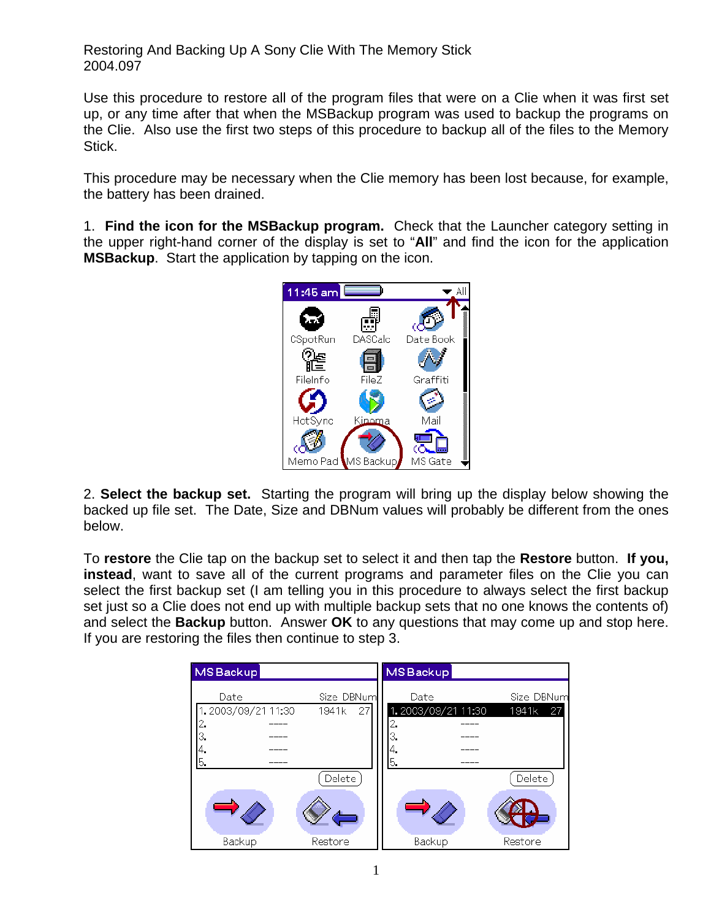Restoring And Backing Up A Sony Clie With The Memory Stick 2004.097

Use this procedure to restore all of the program files that were on a Clie when it was first set up, or any time after that when the MSBackup program was used to backup the programs on the Clie. Also use the first two steps of this procedure to backup all of the files to the Memory Stick.

This procedure may be necessary when the Clie memory has been lost because, for example, the battery has been drained.

1. **Find the icon for the MSBackup program.** Check that the Launcher category setting in the upper right-hand corner of the display is set to "**All**" and find the icon for the application **MSBackup**. Start the application by tapping on the icon.



2. **Select the backup set.** Starting the program will bring up the display below showing the backed up file set. The Date, Size and DBNum values will probably be different from the ones below.

To **restore** the Clie tap on the backup set to select it and then tap the **Restore** button. **If you, instead**, want to save all of the current programs and parameter files on the Clie you can select the first backup set (I am telling you in this procedure to always select the first backup set just so a Clie does not end up with multiple backup sets that no one knows the contents of) and select the **Backup** button. Answer **OK** to any questions that may come up and stop here. If you are restoring the files then continue to step 3.

| MS Backup                                          |                           | MS Backup                                           |                           |
|----------------------------------------------------|---------------------------|-----------------------------------------------------|---------------------------|
| Date<br>1.2003/09/21 11:30<br>2.<br>З.<br>4.<br>5. | Size DBNum<br>27<br>1941k | Date<br>1.2003/09/21 11:30<br>2.<br>З.<br>14.<br>5. | Size DBNum<br>1941k<br>27 |
| Backup                                             | Delete<br>Restore         | Backup                                              | Delete<br>Restore         |